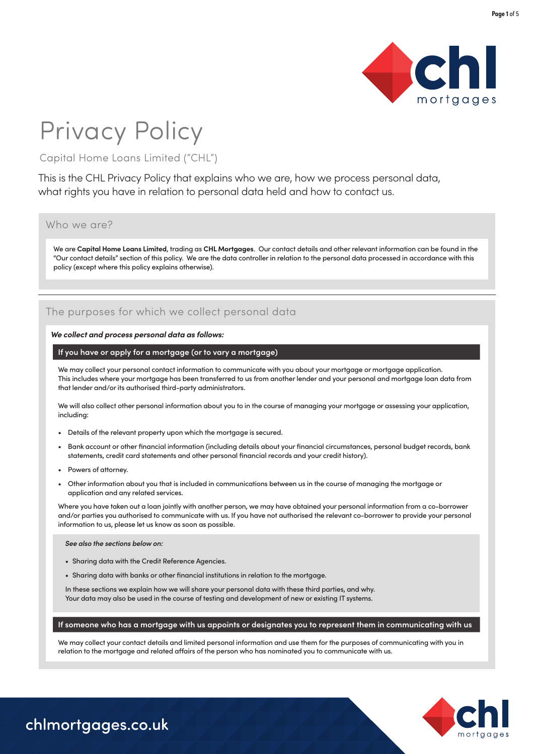

# Privacy Policy

# Capital Home Loans Limited ("CHL")

This is the CHL Privacy Policy that explains who we are, how we process personal data, what rights you have in relation to personal data held and how to contact us.

### Who we are?

We are **Capital Home Loans Limited**, trading as **CHL Mortgages**. Our contact details and other relevant information can be found in the "Our contact details" section of this policy. We are the data controller in relation to the personal data processed in accordance with this policy (except where this policy explains otherwise).

# The purposes for which we collect personal data

### *We collect and process personal data as follows:*

### **If you have or apply for a mortgage (or to vary a mortgage)**

We may collect your personal contact information to communicate with you about your mortgage or mortgage application. This includes where your mortgage has been transferred to us from another lender and your personal and mortgage loan data from that lender and/or its authorised third-party administrators.

We will also collect other personal information about you to in the course of managing your mortgage or assessing your application, including:

- Details of the relevant property upon which the mortgage is secured.
- Bank account or other financial information (including details about your financial circumstances, personal budget records, bank statements, credit card statements and other personal financial records and your credit history).
- Powers of attorney.
- Other information about you that is included in communications between us in the course of managing the mortgage or application and any related services.

Where you have taken out a loan jointly with another person, we may have obtained your personal information from a co-borrower and/or parties you authorised to communicate with us. If you have not authorised the relevant co-borrower to provide your personal information to us, please let us know as soon as possible.

### *See also the sections below on:*

- Sharing data with the Credit Reference Agencies.
- Sharing data with banks or other financial institutions in relation to the mortgage.

In these sections we explain how we will share your personal data with these third parties, and why. Your data may also be used in the course of testing and development of new or existing IT systems.

### **If someone who has a mortgage with us appoints or designates you to represent them in communicating with us**

We may collect your contact details and limited personal information and use them for the purposes of communicating with you in relation to the mortgage and related affairs of the person who has nominated you to communicate with us.

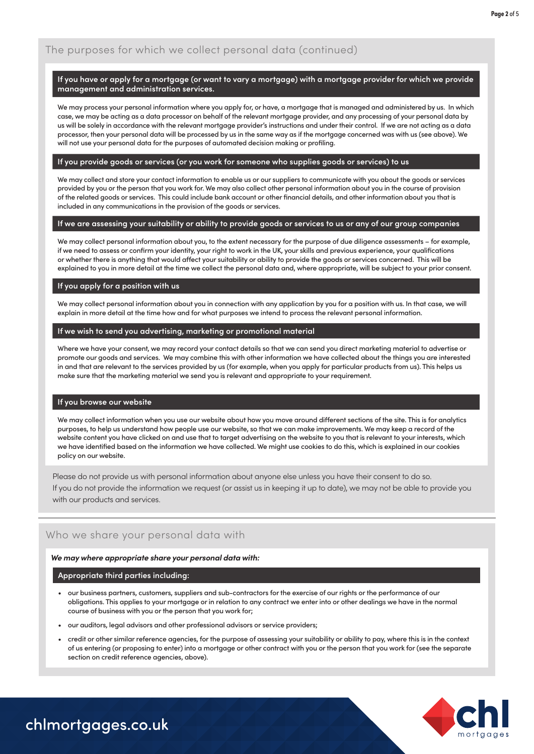# The purposes for which we collect personal data (continued)

### **If you have or apply for a mortgage (or want to vary a mortgage) with a mortgage provider for which we provide management and administration services.**

We may process your personal information where you apply for, or have, a mortgage that is managed and administered by us. In which case, we may be acting as a data processor on behalf of the relevant mortgage provider, and any processing of your personal data by us will be solely in accordance with the relevant mortgage provider's instructions and under their control. If we are not acting as a data processor, then your personal data will be processed by us in the same way as if the mortgage concerned was with us (see above). We will not use your personal data for the purposes of automated decision making or profiling.

#### **If you provide goods or services (or you work for someone who supplies goods or services) to us**

We may collect and store your contact information to enable us or our suppliers to communicate with you about the goods or services provided by you or the person that you work for. We may also collect other personal information about you in the course of provision of the related goods or services. This could include bank account or other financial details, and other information about you that is included in any communications in the provision of the goods or services.

### **If we are assessing your suitability or ability to provide goods or services to us or any of our group companies**

We may collect personal information about you, to the extent necessary for the purpose of due diligence assessments – for example, if we need to assess or confirm your identity, your right to work in the UK, your skills and previous experience, your qualifications or whether there is anything that would affect your suitability or ability to provide the goods or services concerned. This will be explained to you in more detail at the time we collect the personal data and, where appropriate, will be subject to your prior consent.

### **If you apply for a position with us**

We may collect personal information about you in connection with any application by you for a position with us. In that case, we will explain in more detail at the time how and for what purposes we intend to process the relevant personal information.

### **If we wish to send you advertising, marketing or promotional material**

Where we have your consent, we may record your contact details so that we can send you direct marketing material to advertise or promote our goods and services. We may combine this with other information we have collected about the things you are interested in and that are relevant to the services provided by us (for example, when you apply for particular products from us). This helps us make sure that the marketing material we send you is relevant and appropriate to your requirement.

### **If you browse our website**

We may collect information when you use our website about how you move around different sections of the site. This is for analytics purposes, to help us understand how people use our website, so that we can make improvements. We may keep a record of the website content you have clicked on and use that to target advertising on the website to you that is relevant to your interests, which we have identified based on the information we have collected. We might use cookies to do this, which is explained in our cookies policy on our website.

Please do not provide us with personal information about anyone else unless you have their consent to do so.

If you do not provide the information we request (or assist us in keeping it up to date), we may not be able to provide you with our products and services.

## Who we share your personal data with

### *We may where appropriate share your personal data with:*

### **Appropriate third parties including:**

- our business partners, customers, suppliers and sub-contractors for the exercise of our rights or the performance of our obligations. This applies to your mortgage or in relation to any contract we enter into or other dealings we have in the normal course of business with you or the person that you work for;
- our auditors, legal advisors and other professional advisors or service providers;
- credit or other similar reference agencies, for the purpose of assessing your suitability or ability to pay, where this is in the context of us entering (or proposing to enter) into a mortgage or other contract with you or the person that you work for (see the separate section on credit reference agencies, above).

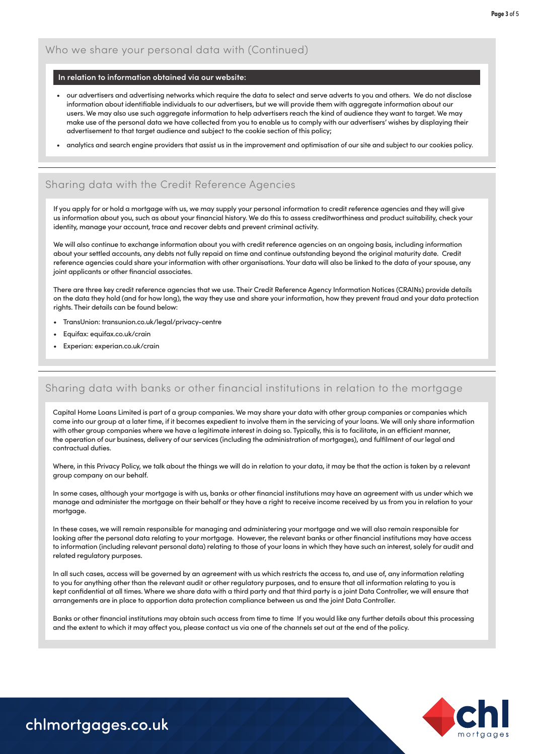### **In relation to information obtained via our website:**

- our advertisers and advertising networks which require the data to select and serve adverts to you and others. We do not disclose information about identifiable individuals to our advertisers, but we will provide them with aggregate information about our users. We may also use such aggregate information to help advertisers reach the kind of audience they want to target. We may make use of the personal data we have collected from you to enable us to comply with our advertisers' wishes by displaying their advertisement to that target audience and subject to the cookie section of this policy;
- analytics and search engine providers that assist us in the improvement and optimisation of our site and subject to our cookies policy.

# Sharing data with the Credit Reference Agencies

If you apply for or hold a mortgage with us, we may supply your personal information to credit reference agencies and they will give us information about you, such as about your financial history. We do this to assess creditworthiness and product suitability, check your identity, manage your account, trace and recover debts and prevent criminal activity.

We will also continue to exchange information about you with credit reference agencies on an ongoing basis, including information about your settled accounts, any debts not fully repaid on time and continue outstanding beyond the original maturity date. Credit reference agencies could share your information with other organisations. Your data will also be linked to the data of your spouse, any joint applicants or other financial associates.

There are three key credit reference agencies that we use. Their Credit Reference Agency Information Notices (CRAINs) provide details on the data they hold (and for how long), the way they use and share your information, how they prevent fraud and your data protection rights. Their details can be found below:

- TransUnion: [transunion.co.uk/legal/privacy-centre](https://www.transunion.co.uk/legal/privacy-centre)
- Equifax: [equifax.co.uk/crain](https://www.equifax.co.uk/crain/)
- Experian: [experian.co.uk/crain](https://www.experian.co.uk/legal/crain/)

# Sharing data with banks or other financial institutions in relation to the mortgage

Capital Home Loans Limited is part of a group companies. We may share your data with other group companies or companies which come into our group at a later time, if it becomes expedient to involve them in the servicing of your loans. We will only share information with other group companies where we have a legitimate interest in doing so. Typically, this is to facilitate, in an efficient manner, the operation of our business, delivery of our services (including the administration of mortgages), and fulfilment of our legal and contractual duties.

Where, in this Privacy Policy, we talk about the things we will do in relation to your data, it may be that the action is taken by a relevant group company on our behalf.

In some cases, although your mortgage is with us, banks or other financial institutions may have an agreement with us under which we manage and administer the mortgage on their behalf or they have a right to receive income received by us from you in relation to your mortgage.

In these cases, we will remain responsible for managing and administering your mortgage and we will also remain responsible for looking after the personal data relating to your mortgage. However, the relevant banks or other financial institutions may have access to information (including relevant personal data) relating to those of your loans in which they have such an interest, solely for audit and related regulatory purposes.

In all such cases, access will be governed by an agreement with us which restricts the access to, and use of, any information relating to you for anything other than the relevant audit or other regulatory purposes, and to ensure that all information relating to you is kept confidential at all times. Where we share data with a third party and that third party is a joint Data Controller, we will ensure that arrangements are in place to apportion data protection compliance between us and the joint Data Controller.

Banks or other financial institutions may obtain such access from time to time If you would like any further details about this processing and the extent to which it may affect you, please contact us via one of the channels set out at the end of the policy.

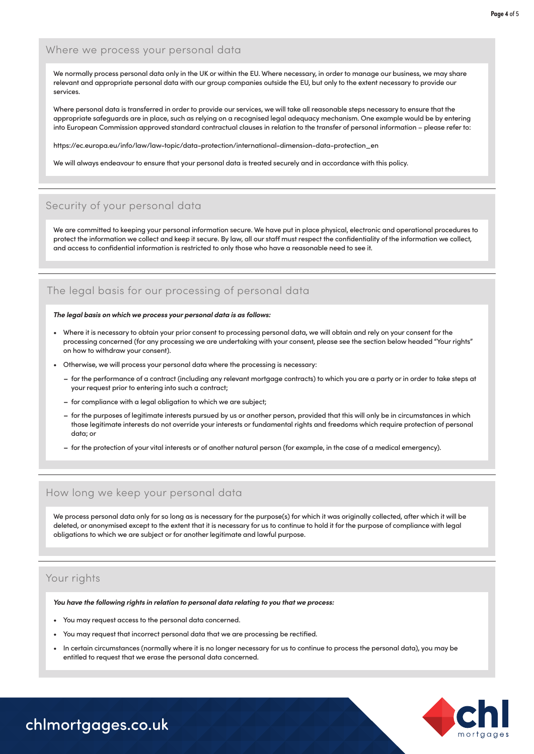### Where we process your personal data

We normally process personal data only in the UK or within the EU. Where necessary, in order to manage our business, we may share relevant and appropriate personal data with our group companies outside the EU, but only to the extent necessary to provide our services.

Where personal data is transferred in order to provide our services, we will take all reasonable steps necessary to ensure that the appropriate safeguards are in place, such as relying on a recognised legal adequacy mechanism. One example would be by entering into European Commission approved standard contractual clauses in relation to the transfer of personal information – please refer to:

https://ec.europa.eu/info/law/law-topic/data-protection/international-dimension-data-protection\_en

We will always endeavour to ensure that your personal data is treated securely and in accordance with this policy.

# Security of your personal data

We are committed to keeping your personal information secure. We have put in place physical, electronic and operational procedures to protect the information we collect and keep it secure. By law, all our staff must respect the confidentiality of the information we collect, and access to confidential information is restricted to only those who have a reasonable need to see it.

# The legal basis for our processing of personal data

#### *The legal basis on which we process your personal data is as follows:*

- processing concerned (for any processing we are undertaking with your consent, please see the section below headed "Your rights" • Where it is necessary to obtain your prior consent to processing personal data, we will obtain and rely on your consent for the on how to withdraw your consent).
	- Otherwise, we will process your personal data where the processing is necessary:
		- **–** for the performance of a contract (including any relevant mortgage contracts) to which you are a party or in order to take steps at your request prior to entering into such a contract;
		- **–** for compliance with a legal obligation to which we are subject;
		- **–** for the purposes of legitimate interests pursued by us or another person, provided that this will only be in circumstances in which those legitimate interests do not override your interests or fundamental rights and freedoms which require protection of personal data; or
		- **–** for the protection of your vital interests or of another natural person (for example, in the case of a medical emergency).

### How long we keep your personal data

We process personal data only for so long as is necessary for the purpose(s) for which it was originally collected, after which it will be deleted, or anonymised except to the extent that it is necessary for us to continue to hold it for the purpose of compliance with legal obligations to which we are subject or for another legitimate and lawful purpose.

### Your rights

*You have the following rights in relation to personal data relating to you that we process:*

- You may request access to the personal data concerned.
- You may request that incorrect personal data that we are processing be rectified.
- In certain circumstances (normally where it is no longer necessary for us to continue to process the personal data), you may be entitled to request that we erase the personal data concerned.